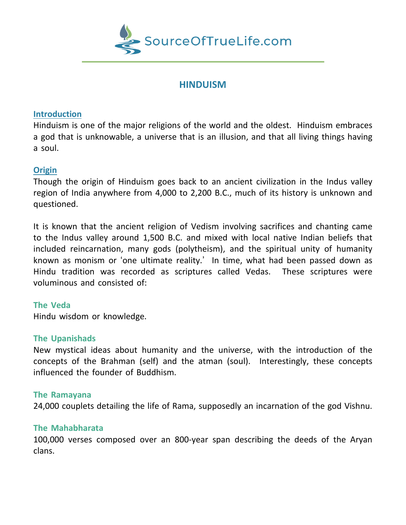

# **HINDUISM**

# **Introduction**

Hinduism is one of the major religions of the world and the oldest. Hinduism embraces a god that is unknowable, a universe that is an illusion, and that all living things having a soul.

# **Origin**

Though the origin of Hinduism goes back to an ancient civilization in the Indus valley region of India anywhere from 4,000 to 2,200 B.C., much of its history is unknown and questioned.

It is known that the ancient religion of Vedism involving sacrifices and chanting came to the Indus valley around 1,500 B.C. and mixed with local native Indian beliefs that included reincarnation, many gods (polytheism), and the spiritual unity of humanity known as monism or 'one ultimate reality.' In time, what had been passed down as Hindu tradition was recorded as scriptures called Vedas. These scriptures were voluminous and consisted of:

#### **The Veda**

Hindu wisdom or knowledge.

#### **The Upanishads**

New mystical ideas about humanity and the universe, with the introduction of the concepts of the Brahman (self) and the atman (soul). Interestingly, these concepts influenced the founder of Buddhism.

#### **The Ramayana**

24,000 couplets detailing the life of Rama, supposedly an incarnation of the god Vishnu.

#### **The Mahabharata**

100,000 verses composed over an 800-year span describing the deeds of the Aryan clans.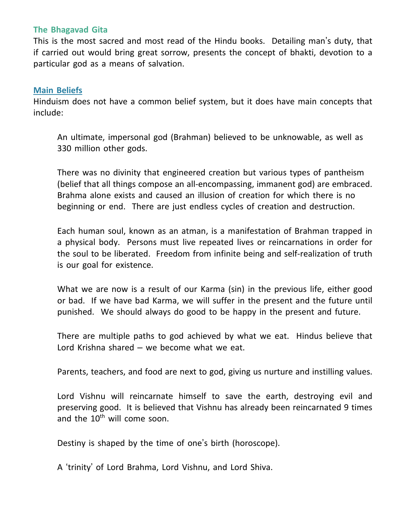#### **The Bhagavad Gita**

This is the most sacred and most read of the Hindu books. Detailing man's duty, that if carried out would bring great sorrow, presents the concept of bhakti, devotion to a particular god as a means of salvation.

# **Main Beliefs**

Hinduism does not have a common belief system, but it does have main concepts that include:

An ultimate, impersonal god (Brahman) believed to be unknowable, as well as 330 million other gods.

There was no divinity that engineered creation but various types of pantheism (belief that all things compose an all-encompassing, immanent god) are embraced. Brahma alone exists and caused an illusion of creation for which there is no beginning or end. There are just endless cycles of creation and destruction.

Each human soul, known as an atman, is a manifestation of Brahman trapped in a physical body. Persons must live repeated lives or reincarnations in order for the soul to be liberated. Freedom from infinite being and self-realization of truth is our goal for existence.

What we are now is a result of our Karma (sin) in the previous life, either good or bad. If we have bad Karma, we will suffer in the present and the future until punished. We should always do good to be happy in the present and future.

There are multiple paths to god achieved by what we eat. Hindus believe that Lord Krishna shared – we become what we eat.

Parents, teachers, and food are next to god, giving us nurture and instilling values.

Lord Vishnu will reincarnate himself to save the earth, destroying evil and preserving good. It is believed that Vishnu has already been reincarnated 9 times and the  $10^{th}$  will come soon.

Destiny is shaped by the time of one's birth (horoscope).

A 'trinity' of Lord Brahma, Lord Vishnu, and Lord Shiva.